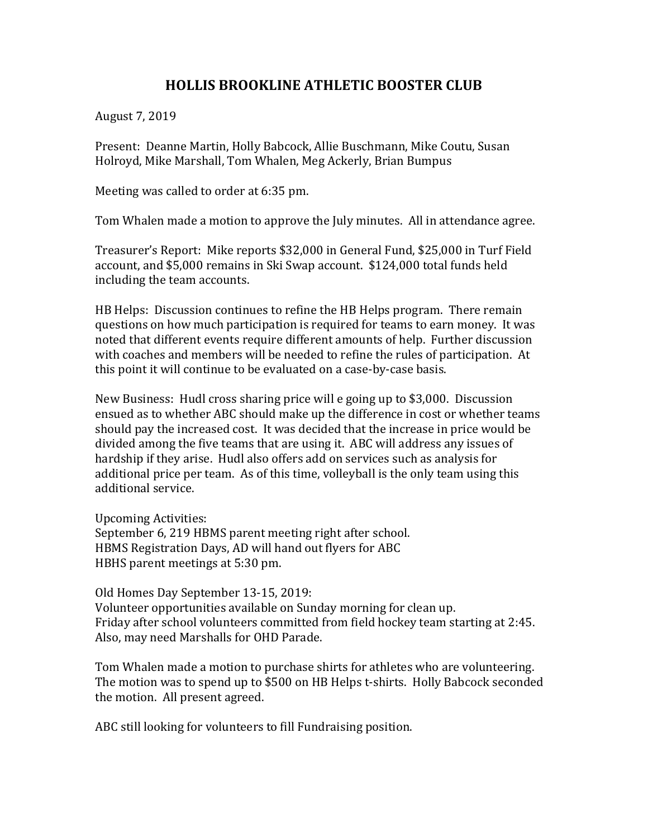## **HOLLIS BROOKLINE ATHLETIC BOOSTER CLUB**

August 7, 2019

Present: Deanne Martin, Holly Babcock, Allie Buschmann, Mike Coutu, Susan Holroyd, Mike Marshall, Tom Whalen, Meg Ackerly, Brian Bumpus

Meeting was called to order at 6:35 pm.

Tom Whalen made a motion to approve the July minutes. All in attendance agree.

Treasurer's Report: Mike reports \$32,000 in General Fund, \$25,000 in Turf Field account, and \$5,000 remains in Ski Swap account. \$124,000 total funds held including the team accounts.

HB Helps: Discussion continues to refine the HB Helps program. There remain questions on how much participation is required for teams to earn money. It was noted that different events require different amounts of help. Further discussion with coaches and members will be needed to refine the rules of participation. At this point it will continue to be evaluated on a case-by-case basis.

New Business: Hudl cross sharing price will e going up to \$3,000. Discussion ensued as to whether ABC should make up the difference in cost or whether teams should pay the increased cost. It was decided that the increase in price would be divided among the five teams that are using it. ABC will address any issues of hardship if they arise. Hudl also offers add on services such as analysis for additional price per team. As of this time, volleyball is the only team using this additional service.

Upcoming Activities: September 6, 219 HBMS parent meeting right after school. HBMS Registration Days, AD will hand out flyers for ABC HBHS parent meetings at 5:30 pm.

Old Homes Day September 13-15, 2019: Volunteer opportunities available on Sunday morning for clean up. Friday after school volunteers committed from field hockey team starting at 2:45. Also, may need Marshalls for OHD Parade.

Tom Whalen made a motion to purchase shirts for athletes who are volunteering. The motion was to spend up to \$500 on HB Helps t-shirts. Holly Babcock seconded the motion. All present agreed.

ABC still looking for volunteers to fill Fundraising position.